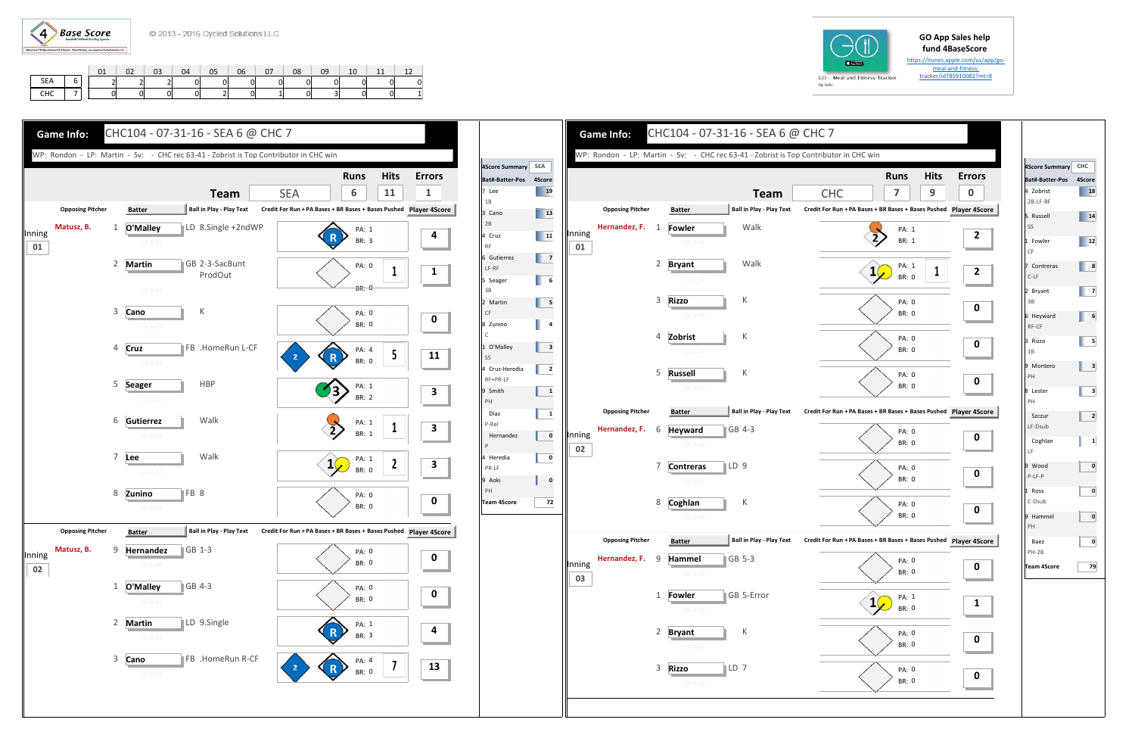

https://itunes.apple.com/us/app/go‐ meal-and-fitness-

|                    | 01 | 02 | 03 | 04 | 05 | 06 | $\begin{array}{cc} \begin{array}{cc} \end{array} & 07 \end{array}$ | 08 | 09 | 10 | 11 | 12 |
|--------------------|----|----|----|----|----|----|--------------------------------------------------------------------|----|----|----|----|----|
| SEA                |    |    |    |    |    |    |                                                                    |    |    |    |    |    |
| CHC<br><b>CITY</b> |    |    |    |    |    |    |                                                                    |    |    |    |    |    |









| Bat#-Batter-Pos 4Score<br>18<br>14<br>12<br>8<br>7<br>6<br>5 |
|--------------------------------------------------------------|
|                                                              |
|                                                              |
|                                                              |
|                                                              |
|                                                              |
|                                                              |
|                                                              |
|                                                              |
|                                                              |
|                                                              |
|                                                              |
|                                                              |
|                                                              |
|                                                              |
|                                                              |
| 3                                                            |
|                                                              |
| 3                                                            |
|                                                              |
| $\mathbf{z}$                                                 |
|                                                              |
| $\mathbf{1}$                                                 |
|                                                              |
| 0                                                            |
|                                                              |
| 0                                                            |
|                                                              |
| $\pmb{0}$                                                    |
|                                                              |
| 0                                                            |
|                                                              |
| 79                                                           |
|                                                              |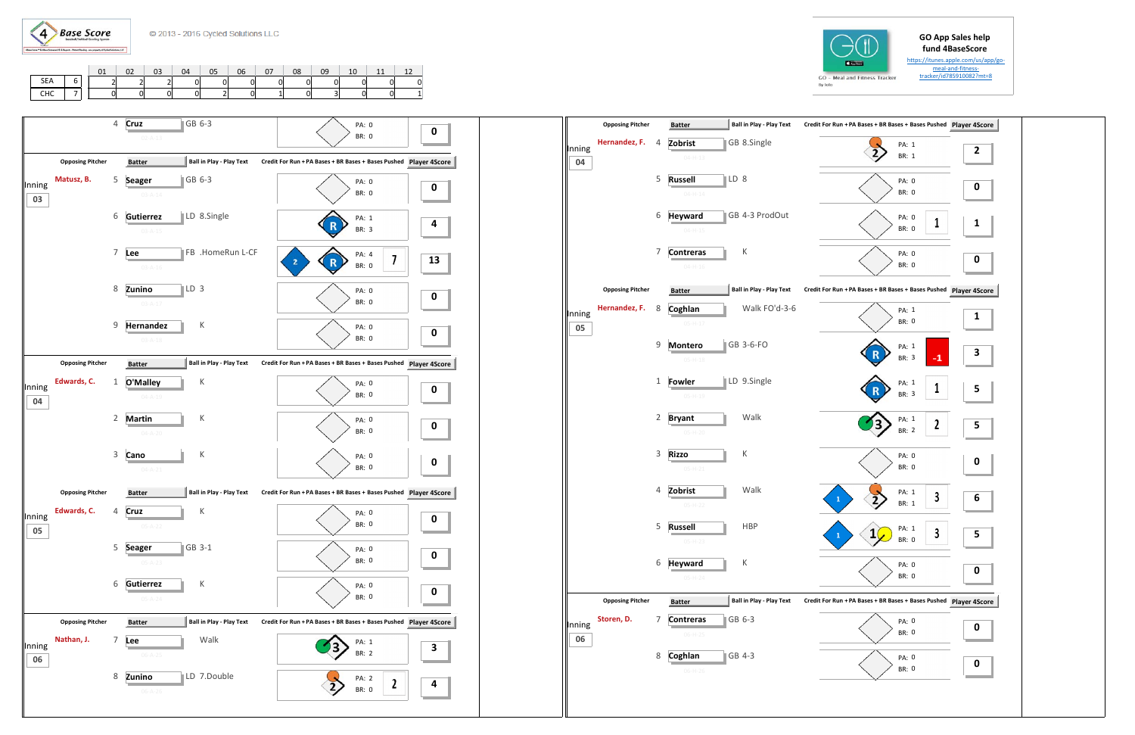



https://itunes.apple.com/us/app/go‐ meal‐and‐fitness‐tracker/id785910082?mt=8

|            |              | 01 | $\begin{array}{ccc} & 0 & \\ & 0 & \end{array}$ | $\overline{\phantom{0}}$ 03 | 04 | $\begin{array}{ccc} \end{array}$ 05 | 06 | 07 |  | 10 | 11 | 12 |
|------------|--------------|----|-------------------------------------------------|-----------------------------|----|-------------------------------------|----|----|--|----|----|----|
| SEA        | $\mathbf{O}$ |    |                                                 |                             |    |                                     |    |    |  |    |    |    |
| <b>CHC</b> |              |    |                                                 |                             |    |                                     |    |    |  |    |    |    |

|              | <b>Opposing Pitcher</b> |                | <b>Batter</b>                           | <b>Ball in Play - Play Text</b> | Credit For Run + PA Bases + BR Bases + Bases Pushed Player 49 |                         |
|--------------|-------------------------|----------------|-----------------------------------------|---------------------------------|---------------------------------------------------------------|-------------------------|
| Inning<br>04 | Hernandez, F.           | 4              | Zobrist<br>$04 - H - 13$                | GB 8.Single                     | PA: 1<br>BR: 1                                                | $\overline{\mathbf{c}}$ |
|              |                         | 5              | LD 8<br><b>Russell</b><br>$04 - H - 14$ |                                 | PA: 0<br><b>BR: 0</b>                                         | 0                       |
|              |                         | 6              | <b>Heyward</b><br>$04 - H - 15$         | GB 4-3 ProdOut                  | PA: 0<br>1<br><b>BR: 0</b>                                    | 1                       |
|              |                         | 7              | <b>Contreras</b><br>$04 - H - 16$       | К                               | PA: 0<br>BR: 0                                                | 0                       |
|              | <b>Opposing Pitcher</b> |                | <b>Batter</b>                           | <b>Ball in Play - Play Text</b> | Credit For Run + PA Bases + BR Bases + Bases Pushed Player 4S |                         |
| Inning<br>05 | Hernandez, F.           | 8              | Coghlan<br>$05 - H - 17$                | Walk FO'd-3-6                   | PA: 1<br>BR: 0                                                | 1                       |
|              |                         | 9              | <b>Montero</b><br>$05 - H - 18$         | GB 3-6-FO                       | PA: 1<br>$-1$<br>BR: 3                                        | 3                       |
|              |                         | 1              | <b>Fowler</b><br>$05 - H - 19$          | LD 9.Single                     | PA: 1<br>1<br>R<br>BR: 3                                      | 5                       |
|              |                         | $\overline{2}$ | <b>Bryant</b><br>$05-H-20$              | Walk                            | PA: 1<br>$\boldsymbol{2}$<br>BR: 2                            | 5                       |
|              |                         | 3              | <b>Rizzo</b><br>$05 - H - 21$           | К                               | PA: 0<br>BR: 0                                                | 0                       |
|              |                         | $\overline{4}$ | Zobrist<br>$05-H-22$                    | Walk                            | PA: 1<br>3<br>1<br>BR: 1                                      | 6                       |
|              |                         | 5              | <b>Russell</b><br>$05-H-23$             | <b>HBP</b>                      | PA: 1<br>3<br>$\mathbf{1}$<br><b>BR: 0</b>                    | 5                       |
|              |                         | 6              | <b>Heyward</b><br>$05-H-24$             | К                               | PA: 0<br>BR: 0                                                | 0                       |
|              | <b>Opposing Pitcher</b> |                | <b>Batter</b>                           | <b>Ball in Play - Play Text</b> | Credit For Run + PA Bases + BR Bases + Bases Pushed Player 4S |                         |
| Inning<br>06 | Storen, D.              | 7              | <b>Contreras</b><br>$06-H-25$           | GB 6-3                          | PA: 0<br>BR: 0                                                | 0                       |
|              |                         | 8              | Coghlan<br>$06-H-26$                    | GB 4-3                          | PA: 0<br>BR: 0                                                | 0                       |
|              |                         |                |                                         |                                 |                                                               |                         |



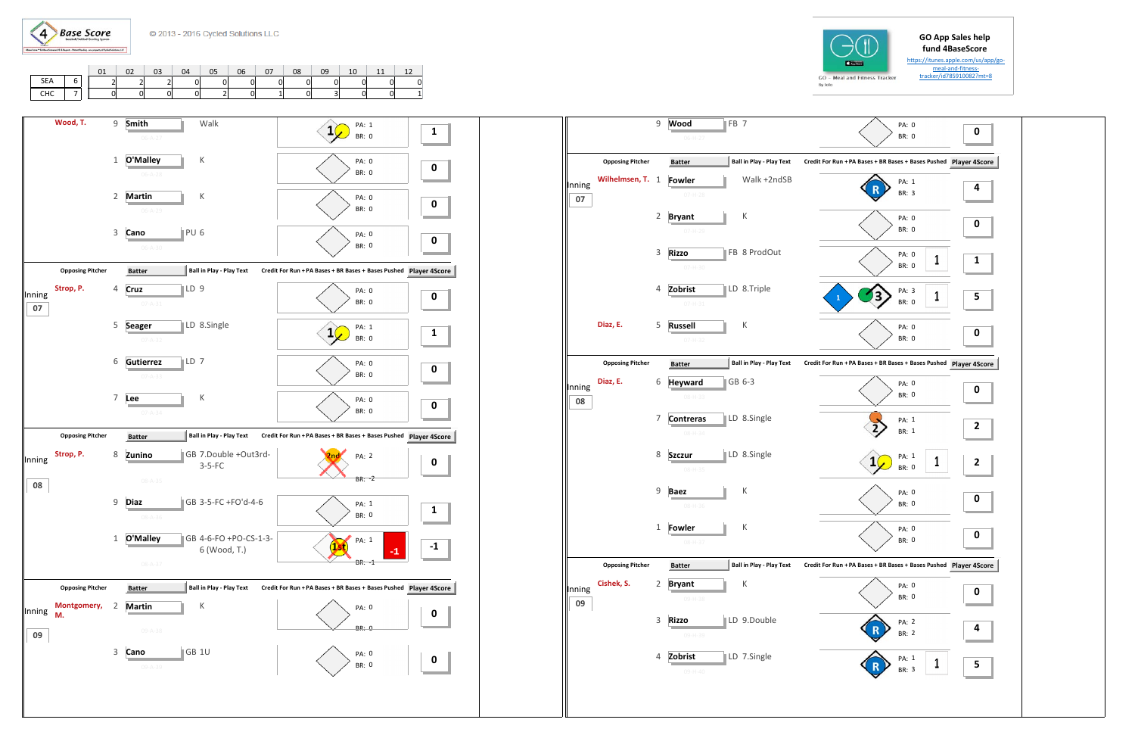

https://itunes.apple.com/us/app/go‐ meal‐and‐fitness‐tracker/id785910082?mt=8

|     | 01 | 02 | 03 | 04 | 05 | 06 | 07 | 08 | 09 | 10 | 11 |  |
|-----|----|----|----|----|----|----|----|----|----|----|----|--|
| SEA |    |    |    |    |    |    |    |    |    |    |    |  |
| CHC |    |    |    |    |    |    |    |    |    |    |    |  |

|              |                         | 9                         | FB <sub>7</sub><br>Wood<br>06-H-27 |                                 | PA: 0<br><b>BR: 0</b>                                         | 0 |
|--------------|-------------------------|---------------------------|------------------------------------|---------------------------------|---------------------------------------------------------------|---|
|              | <b>Opposing Pitcher</b> |                           | <b>Batter</b>                      | <b>Ball in Play - Play Text</b> | Credit For Run + PA Bases + BR Bases + Bases Pushed Player 4S |   |
| Inning<br>07 | Wilhelmsen, T.          | 1                         | <b>Fowler</b><br>$07-H-28$         | Walk +2ndSB                     | PA: 1<br><b>BR: 3</b>                                         | 4 |
|              |                         | $\overline{2}$            | <b>Bryant</b><br>$07-H-29$         | К                               | PA: 0<br><b>BR: 0</b>                                         | 0 |
|              |                         | $\mathsf 3$               | <b>Rizzo</b><br>$07 - H - 30$      | FB 8 ProdOut                    | PA: 0<br>1<br>BR: 0                                           | 1 |
|              |                         | 4                         | Zobrist<br>$07 - H - 31$           | LD 8.Triple                     | PA: 3<br>1<br>$\mathbf{1}$<br>BR: 0                           | 5 |
|              | Diaz, E.                | 5                         | <b>Russell</b><br>$07 - H - 32$    | К                               | PA: 0<br>BR: 0                                                | 0 |
|              | <b>Opposing Pitcher</b> |                           | <b>Batter</b>                      | <b>Ball in Play - Play Text</b> | Credit For Run + PA Bases + BR Bases + Bases Pushed Player 4S |   |
| Inning<br>08 | Diaz, E.                | 6                         | <b>Heyward</b><br>$08 - H - 33$    | GB 6-3                          | PA: 0<br><b>BR: 0</b>                                         | 0 |
|              |                         | 7                         | <b>Contreras</b><br>$08 - H - 34$  | LD 8.Single                     | PA: 1<br>BR: 1                                                | 2 |
|              |                         | 8                         | <b>Szczur</b><br>$08 - H - 35$     | LD 8.Single                     | PA: 1<br>1<br><b>BR: 0</b>                                    | 2 |
|              |                         | 9                         | <b>Baez</b><br>$08 - H - 36$       | К                               | PA: 0<br><b>BR: 0</b>                                         | 0 |
|              |                         | 1                         | Fowler<br>08-H-37                  | К                               | PA: 0<br>BR: 0                                                | 0 |
|              | <b>Opposing Pitcher</b> |                           | <b>Batter</b>                      | <b>Ball in Play - Play Text</b> | Credit For Run + PA Bases + BR Bases + Bases Pushed Player 4S |   |
| Inning<br>09 | Cishek, S.              | 2                         | <b>Bryant</b><br>09-H-38           | Κ                               | PA: 0<br>BR: 0                                                | 0 |
|              |                         | $\ensuremath{\mathsf{3}}$ | <b>Rizzo</b><br>09-H-39            | LD 9.Double                     | PA: 2<br><b>BR: 2</b>                                         | 4 |
|              |                         | 4                         | Zobrist<br>09-H-40                 | LD 7.Single                     | PA: 1<br>1<br>BR: 3                                           | 5 |







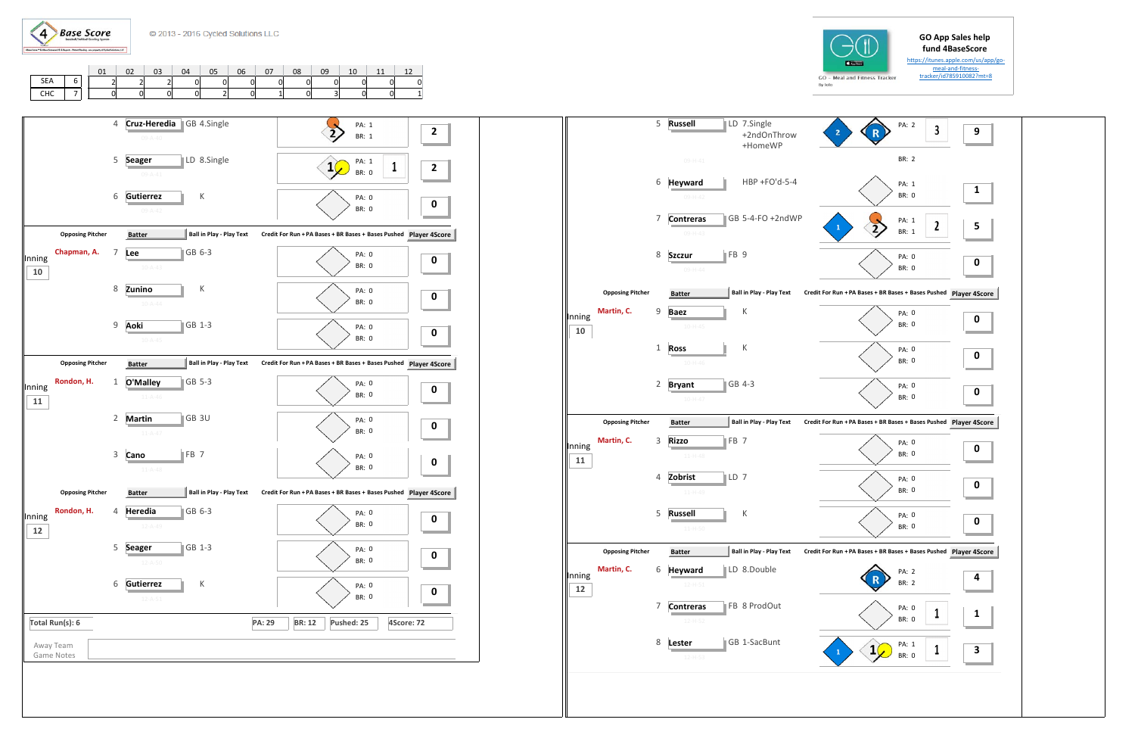



https://itunes.apple.com/us/app/go‐ meal‐and‐fitness‐tracker/id785910082?mt=8

|            | 01 | 02 | 03 | 04 | 05 | 06       | 07 | 08 | 09 | 10 | 11 | 12 |
|------------|----|----|----|----|----|----------|----|----|----|----|----|----|
| <b>SEA</b> |    |    |    |    |    | $\Omega$ |    |    |    |    |    |    |
| CHC        |    |    |    |    |    |          |    |    |    |    |    |    |
|            |    |    |    |    |    |          |    |    |    |    |    |    |



|              |                         | 5            | <b>Russell</b>                                    | LD 7.Single<br>+2ndOnThrow<br>+HomeWP | PA: 2<br>3<br>$\overline{2}$                                  | 9                |
|--------------|-------------------------|--------------|---------------------------------------------------|---------------------------------------|---------------------------------------------------------------|------------------|
|              |                         |              | 09-H-41                                           |                                       | <b>BR: 2</b>                                                  |                  |
|              |                         | 6            | <b>Heyward</b><br>$09 - H - 42$                   | HBP +FO'd-5-4                         | PA: 1<br><b>BR: 0</b>                                         | 1                |
|              |                         | 7            | <b>Contreras</b><br>$09-H-43$                     | GB 5-4-FO +2ndWP                      | PA: 1<br>2<br>1<br><b>BR: 1</b>                               | 5                |
|              |                         | 8            | FB <sub>9</sub><br><b>Szczur</b><br>$09 - H - 44$ |                                       | PA: 0<br>BR: 0                                                | 0                |
|              | <b>Opposing Pitcher</b> |              | <b>Batter</b>                                     | <b>Ball in Play - Play Text</b>       | Credit For Run + PA Bases + BR Bases + Bases Pushed Player 4S |                  |
| Inning<br>10 | Martin, C.              | 9            | <b>Baez</b><br>$10 - H - 45$                      | К                                     | PA: 0<br><b>BR: 0</b>                                         | 0                |
|              |                         | $\mathbf{1}$ | <b>Ross</b><br>$10 - H - 46$                      | К                                     | PA: 0<br><b>BR: 0</b>                                         | 0                |
|              |                         | 2            | <b>Bryant</b><br>$10 - H - 47$                    | GB 4-3                                | PA: 0<br><b>BR: 0</b>                                         | 0                |
|              | <b>Opposing Pitcher</b> |              | <b>Batter</b>                                     | <b>Ball in Play - Play Text</b>       | Credit For Run + PA Bases + BR Bases + Bases Pushed Player 4S |                  |
|              |                         |              |                                                   |                                       | PA: 0                                                         |                  |
| Inning<br>11 | Martin, C.              | 3            | FB <sub>7</sub><br><b>Rizzo</b><br>$11 - H - 48$  |                                       | <b>BR: 0</b>                                                  |                  |
|              |                         | 4            | Zobrist<br>LD 7<br>$11 - H - 49$                  |                                       | PA: 0<br><b>BR: 0</b>                                         | 0<br>0           |
|              |                         | 5            | <b>Russell</b><br>$11 - H - 50$                   | К                                     | PA: 0<br><b>BR: 0</b>                                         |                  |
|              | <b>Opposing Pitcher</b> |              | <b>Batter</b>                                     | <b>Ball in Play - Play Text</b>       | Credit For Run + PA Bases + BR Bases + Bases Pushed Player 4S |                  |
| Inning<br>12 | Martin, C.              | 6            | <b>Heyward</b><br>$12 - H - 51$                   | LD 8.Double                           | PA: 2<br>BR: 2                                                |                  |
|              |                         | 7            | <b>Contreras</b><br>12-H-52                       | FB 8 ProdOut                          | PA: 0<br>1<br>BR: 0                                           |                  |
|              |                         | 8            | Lester<br>12-H-53                                 | GB 1-SacBunt                          | PA: 1<br>1<br>1<br>1<br>BR: 0                                 | 0<br>4<br>1<br>З |

![](_page_3_Picture_7.jpeg)

![](_page_3_Figure_11.jpeg)